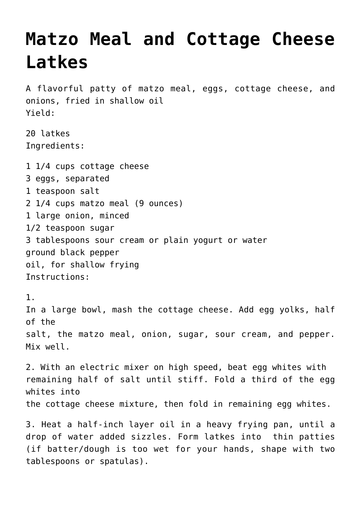## **[Matzo Meal and Cottage Cheese](https://lincon.com/site/matzo-meal-and-cottage-cheese-latkes/) [Latkes](https://lincon.com/site/matzo-meal-and-cottage-cheese-latkes/)**

A flavorful patty of matzo meal, eggs, cottage cheese, and onions, fried in shallow oil Yield:

20 latkes Ingredients:

1 1/4 cups cottage cheese 3 eggs, separated 1 teaspoon salt 2 1/4 cups matzo meal (9 ounces) 1 large onion, minced 1/2 teaspoon sugar 3 tablespoons sour cream or plain yogurt or water ground black pepper oil, for shallow frying Instructions:

1. In a large bowl, mash the cottage cheese. Add egg yolks, half of the salt, the matzo meal, onion, sugar, sour cream, and pepper. Mix well.

2. With an electric mixer on high speed, beat egg whites with remaining half of salt until stiff. Fold a third of the egg whites into the cottage cheese mixture, then fold in remaining egg whites.

3. Heat a half-inch layer oil in a heavy frying pan, until a drop of water added sizzles. Form latkes into thin patties (if batter/dough is too wet for your hands, shape with two tablespoons or spatulas).